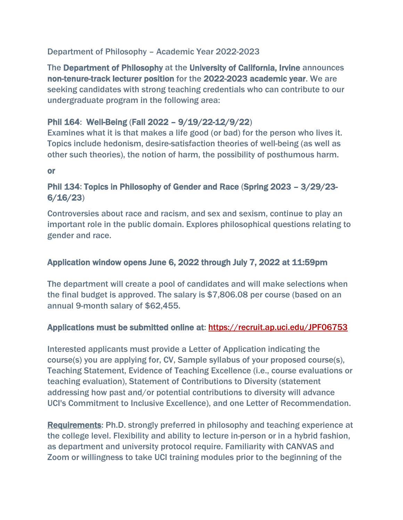#### Department of Philosophy – Academic Year 2022-2023

The Department of Philosophy at the University of California, Irvine announces non-tenure-track lecturer position for the 2022-2023 academic year. We are seeking candidates with strong teaching credentials who can contribute to our undergraduate program in the following area:

# Phil 164: Well-Being (Fall 2022 – 9/19/22-12/9/22)

Examines what it is that makes a life good (or bad) for the person who lives it. Topics include hedonism, desire-satisfaction theories of well-being (as well as other such theories), the notion of harm, the possibility of posthumous harm.

or

### Phil 134: Topics in Philosophy of Gender and Race (Spring 2023 – 3/29/23- 6/16/23)

Controversies about race and racism, and sex and sexism, continue to play an important role in the public domain. Explores philosophical questions relating to gender and race.

#### Application window opens June 6, 2022 through July 7, 2022 at 11:59pm

The department will create a pool of candidates and will make selections when the final budget is approved. The salary is \$7,806.08 per course (based on an annual 9-month salary of \$62,455.

#### Applications must be submitted online at: <https://recruit.ap.uci.edu/JPF06753>

Interested applicants must provide a Letter of Application indicating the course(s) you are applying for, CV, Sample syllabus of your proposed course(s), Teaching Statement, Evidence of Teaching Excellence (i.e., course evaluations or teaching evaluation), Statement of Contributions to Diversity (statement addressing how past and/or potential contributions to diversity will advance UCI's Commitment to Inclusive Excellence), and one Letter of Recommendation.

Requirements: Ph.D. strongly preferred in philosophy and teaching experience at the college level. Flexibility and ability to lecture in-person or in a hybrid fashion, as department and university protocol require. Familiarity with CANVAS and Zoom or willingness to take UCI training modules prior to the beginning of the